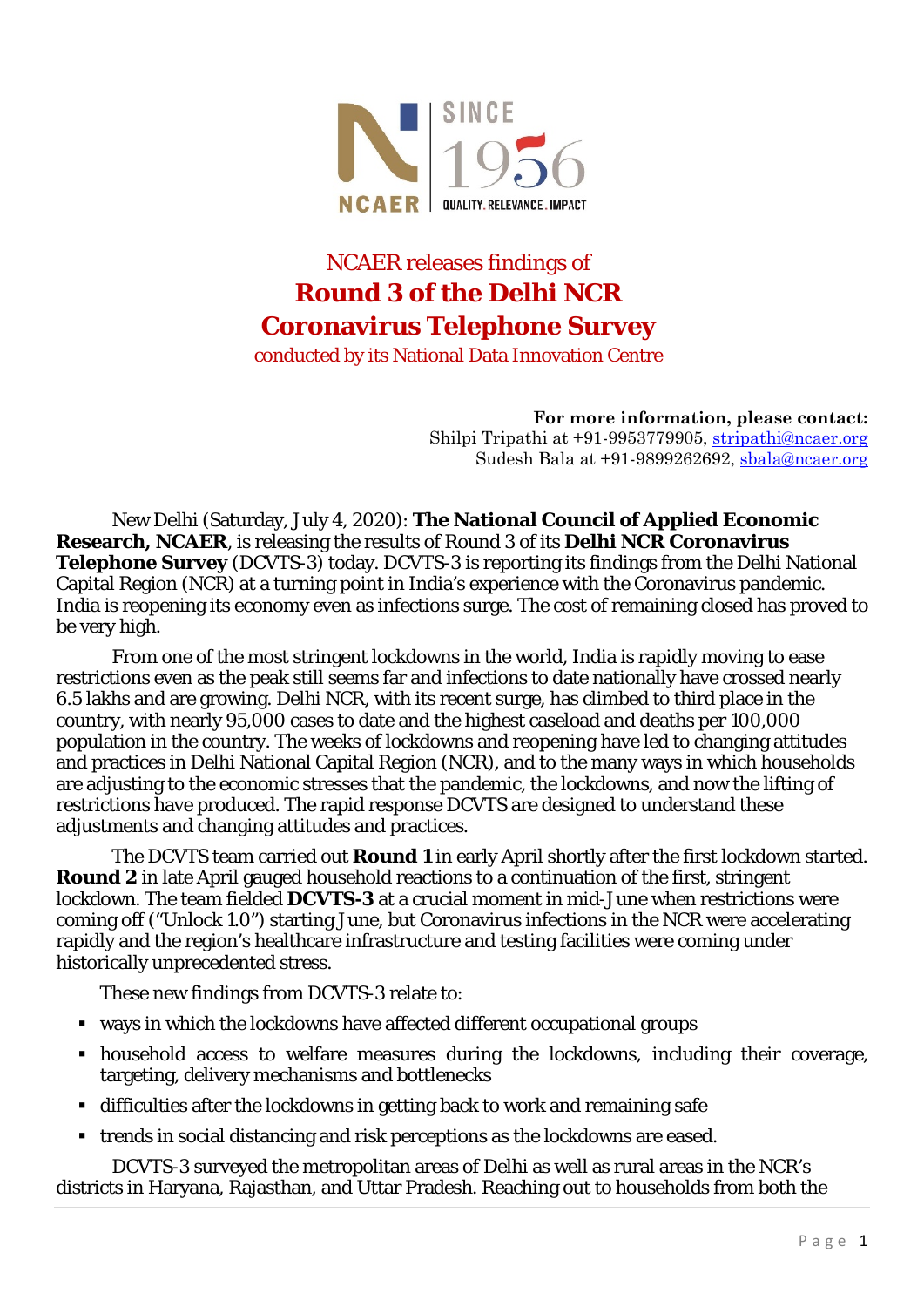

# NCAER releases findings of **Round 3 of the Delhi NCR Coronavirus Telephone Survey**

conducted by its National Data Innovation Centre

**For more information, please contact:** Shilpi Tripathi at +91-9953779905, stripathi@ncaer.org Sudesh Bala at +91-9899262692, [sbala@ncaer.org](mailto:sbala@ncaer.org)

New Delhi (Saturday, July 4, 2020): **The National Council of Applied Economic Research, NCAER**, is releasing the results of Round 3 of its **Delhi NCR Coronavirus Telephone Survey** (DCVTS-3) today. DCVTS-3 is reporting its findings from the Delhi National Capital Region (NCR) at a turning point in India's experience with the Coronavirus pandemic. India is reopening its economy even as infections surge. The cost of remaining closed has proved to be very high.

From one of the most stringent lockdowns in the world, India is rapidly moving to ease restrictions even as the peak still seems far and infections to date nationally have crossed nearly 6.5 lakhs and are growing. Delhi NCR, with its recent surge, has climbed to third place in the country, with nearly 95,000 cases to date and the highest caseload and deaths per 100,000 population in the country. The weeks of lockdowns and reopening have led to changing attitudes and practices in Delhi National Capital Region (NCR), and to the many ways in which households are adjusting to the economic stresses that the pandemic, the lockdowns, and now the lifting of restrictions have produced. The rapid response DCVTS are designed to understand these adjustments and changing attitudes and practices.

The DCVTS team carried out **Round 1** in early April shortly after the first lockdown started. **Round 2** in late April gauged household reactions to a continuation of the first, stringent lockdown. The team fielded **DCVTS-3** at a crucial moment in mid-June when restrictions were coming off ("Unlock 1.0") starting June, but Coronavirus infections in the NCR were accelerating rapidly and the region's healthcare infrastructure and testing facilities were coming under historically unprecedented stress.

These new findings from DCVTS-3 relate to:

- ways in which the lockdowns have affected different occupational groups
- household access to welfare measures during the lockdowns, including their coverage, targeting, delivery mechanisms and bottlenecks
- difficulties after the lockdowns in getting back to work and remaining safe
- trends in social distancing and risk perceptions as the lockdowns are eased.

DCVTS-3 surveyed the metropolitan areas of Delhi as well as rural areas in the NCR's districts in Haryana, Rajasthan, and Uttar Pradesh. Reaching out to households from both the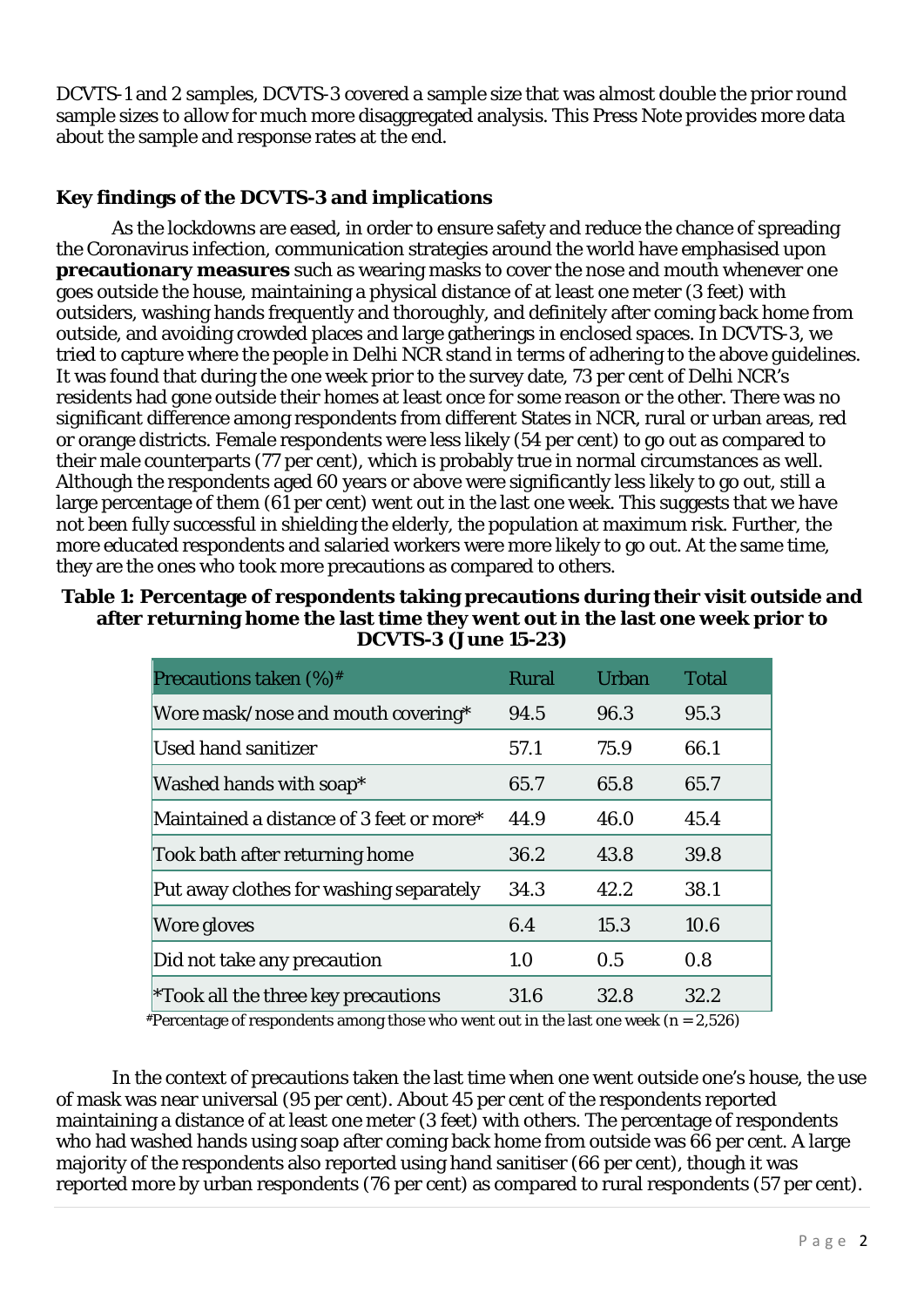DCVTS-1 and 2 samples, DCVTS-3 covered a sample size that was almost double the prior round sample sizes to allow for much more disaggregated analysis. This Press Note provides more data about the sample and response rates at the end.

## **Key findings of the DCVTS-3 and implications**

As the lockdowns are eased, in order to ensure safety and reduce the chance of spreading the Coronavirus infection, communication strategies around the world have emphasised upon **precautionary measures** such as wearing masks to cover the nose and mouth whenever one goes outside the house, maintaining a physical distance of at least one meter (3 feet) with outsiders, washing hands frequently and thoroughly, and definitely after coming back home from outside, and avoiding crowded places and large gatherings in enclosed spaces. In DCVTS-3, we tried to capture where the people in Delhi NCR stand in terms of adhering to the above guidelines. It was found that during the one week prior to the survey date, 73 per cent of Delhi NCR's residents had gone outside their homes at least once for some reason or the other. There was no significant difference among respondents from different States in NCR, rural or urban areas, red or orange districts. Female respondents were less likely (54 per cent) to go out as compared to their male counterparts (77 per cent), which is probably true in normal circumstances as well. Although the respondents aged 60 years or above were significantly less likely to go out, still a large percentage of them (61 per cent) went out in the last one week. This suggests that we have not been fully successful in shielding the elderly, the population at maximum risk. Further, the more educated respondents and salaried workers were more likely to go out. At the same time, they are the ones who took more precautions as compared to others.

### **Table 1: Percentage of respondents taking precautions during their visit outside and after returning home the last time they went out in the last one week prior to DCVTS-3 (June 15-23)**

| Precautions taken $(\%)^*$               | <b>Rural</b> | Urban | <b>Total</b> |
|------------------------------------------|--------------|-------|--------------|
| Wore mask/nose and mouth covering*       | 94.5         | 96.3  | 95.3         |
| Used hand sanitizer                      | 57.1         | 75.9  | 66.1         |
| Washed hands with soap*                  | 65.7         | 65.8  | 65.7         |
| Maintained a distance of 3 feet or more* | 44.9         | 46.0  | 45.4         |
| Took bath after returning home           | 36.2         | 43.8  | 39.8         |
| Put away clothes for washing separately  | 34.3         | 42.2  | 38.1         |
| Wore gloves                              | 6.4          | 15.3  | 10.6         |
| Did not take any precaution              | 1.0          | 0.5   | 0.8          |
| *Took all the three key precautions      | 31.6         | 32.8  | 32.2         |

 $*$ Percentage of respondents among those who went out in the last one week (n = 2,526)

In the context of precautions taken the last time when one went outside one's house, the use of mask was near universal (95 per cent). About 45 per cent of the respondents reported maintaining a distance of at least one meter (3 feet) with others. The percentage of respondents who had washed hands using soap after coming back home from outside was 66 per cent. A large majority of the respondents also reported using hand sanitiser (66 per cent), though it was reported more by urban respondents (76 per cent) as compared to rural respondents (57 per cent).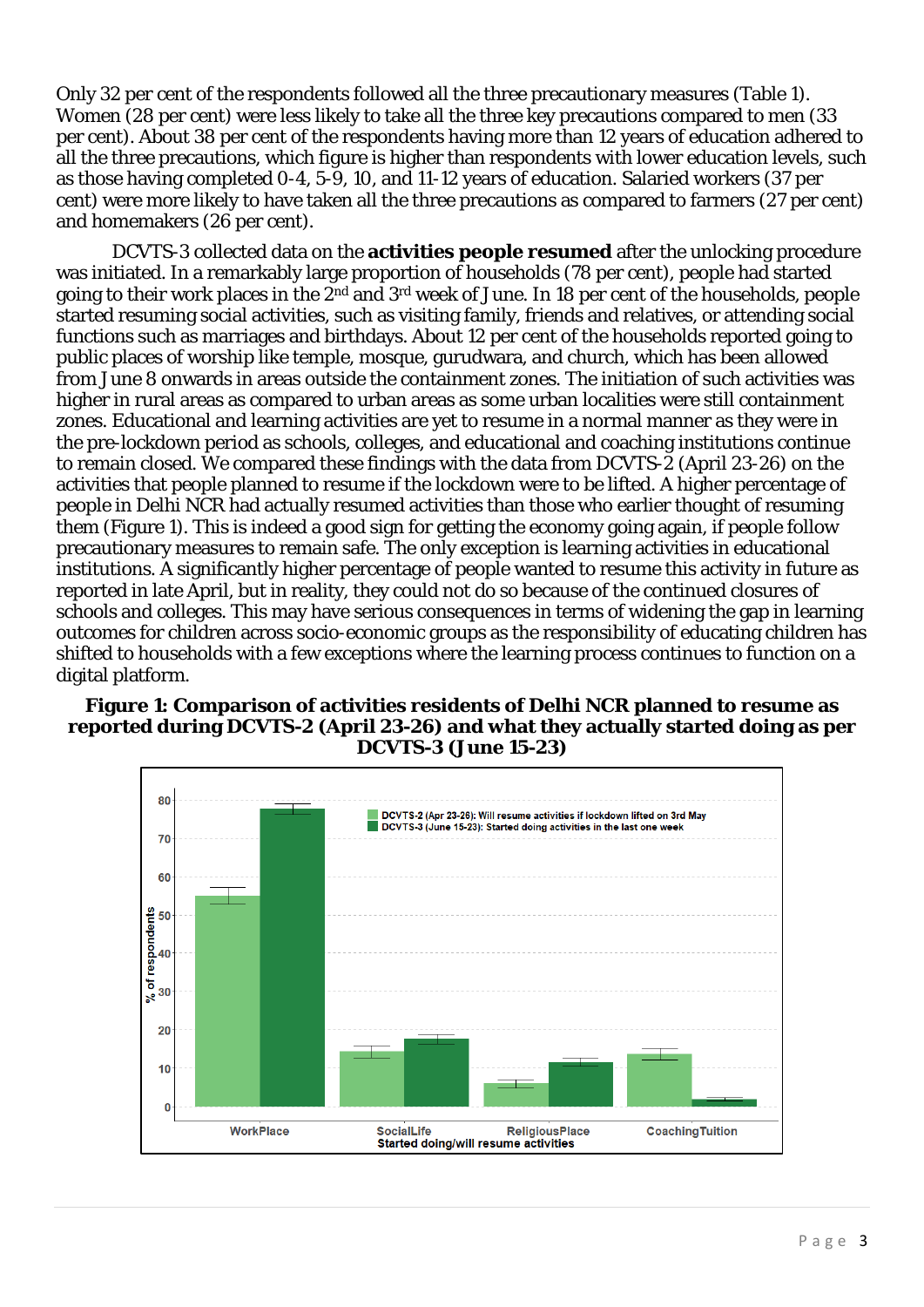Only 32 per cent of the respondents followed all the three precautionary measures (Table 1). Women (28 per cent) were less likely to take all the three key precautions compared to men (33 per cent). About 38 per cent of the respondents having more than 12 years of education adhered to all the three precautions, which figure is higher than respondents with lower education levels, such as those having completed 0-4, 5-9, 10, and 11-12 years of education. Salaried workers (37 per cent) were more likely to have taken all the three precautions as compared to farmers (27 per cent) and homemakers (26 per cent).

DCVTS-3 collected data on the **activities people resumed** after the unlocking procedure was initiated. In a remarkably large proportion of households (78 per cent), people had started going to their work places in the 2nd and 3rd week of June. In 18 per cent of the households, people started resuming social activities, such as visiting family, friends and relatives, or attending social functions such as marriages and birthdays. About 12 per cent of the households reported going to public places of worship like temple, mosque, gurudwara, and church, which has been allowed from June 8 onwards in areas outside the containment zones. The initiation of such activities was higher in rural areas as compared to urban areas as some urban localities were still containment zones. Educational and learning activities are yet to resume in a normal manner as they were in the pre-lockdown period as schools, colleges, and educational and coaching institutions continue to remain closed. We compared these findings with the data from DCVTS-2 (April 23-26) on the activities that people planned to resume if the lockdown were to be lifted. A higher percentage of people in Delhi NCR had actually resumed activities than those who earlier thought of resuming them (Figure 1). This is indeed a good sign for getting the economy going again, if people follow precautionary measures to remain safe. The only exception is learning activities in educational institutions. A significantly higher percentage of people wanted to resume this activity in future as reported in late April, but in reality, they could not do so because of the continued closures of schools and colleges. This may have serious consequences in terms of widening the gap in learning outcomes for children across socio-economic groups as the responsibility of educating children has shifted to households with a few exceptions where the learning process continues to function on a digital platform.

#### **Figure 1: Comparison of activities residents of Delhi NCR planned to resume as reported during DCVTS-2 (April 23-26) and what they actually started doing as per DCVTS-3 (June 15-23)**

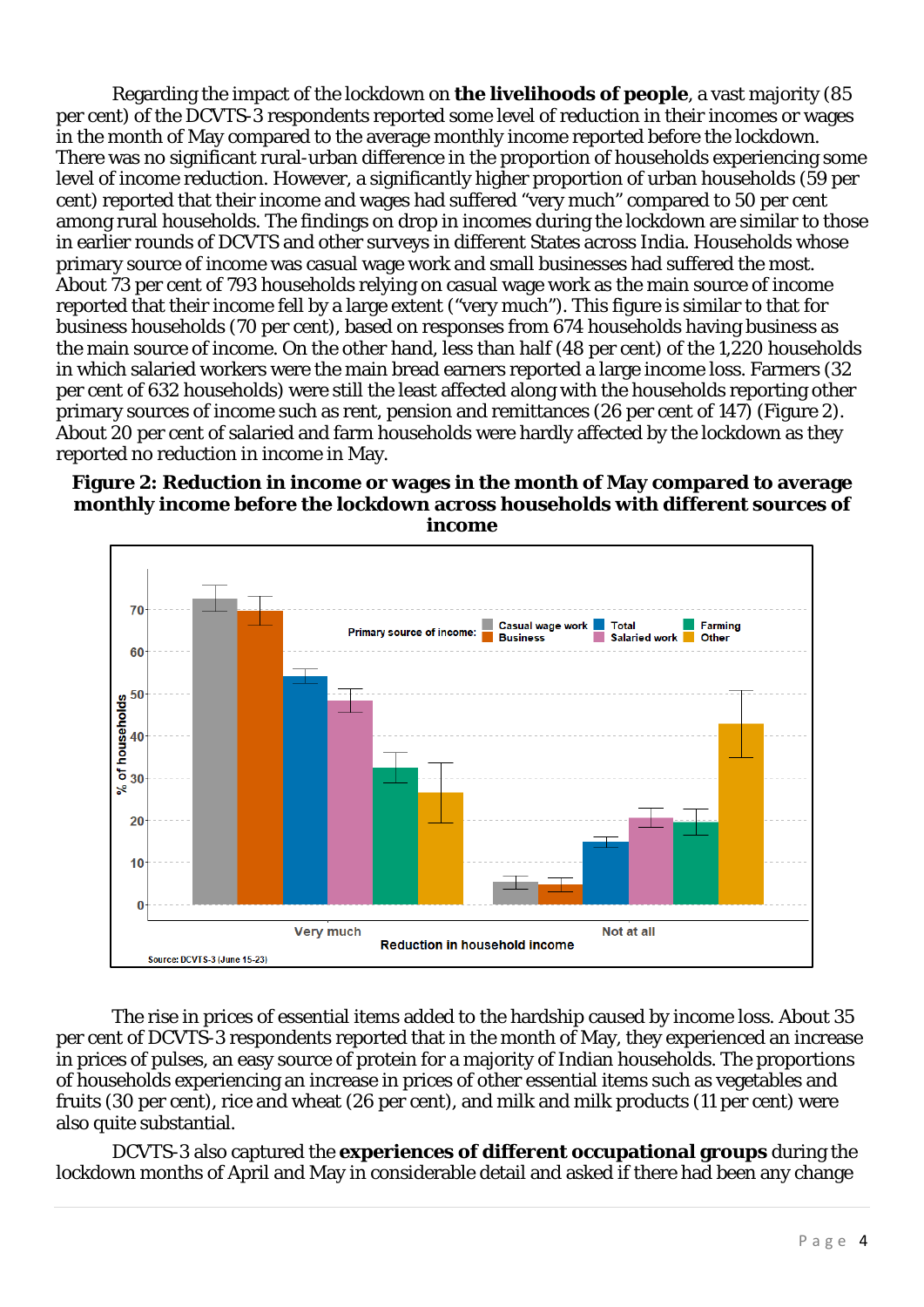Regarding the impact of the lockdown on **the livelihoods of people**, a vast majority (85 per cent) of the DCVTS-3 respondents reported some level of reduction in their incomes or wages in the month of May compared to the average monthly income reported before the lockdown. There was no significant rural-urban difference in the proportion of households experiencing some level of income reduction. However, a significantly higher proportion of urban households (59 per cent) reported that their income and wages had suffered "very much" compared to 50 per cent among rural households. The findings on drop in incomes during the lockdown are similar to those in earlier rounds of DCVTS and other surveys in different States across India. Households whose primary source of income was casual wage work and small businesses had suffered the most. About 73 per cent of 793 households relying on casual wage work as the main source of income reported that their income fell by a large extent ("very much"). This figure is similar to that for business households (70 per cent), based on responses from 674 households having business as the main source of income. On the other hand, less than half (48 per cent) of the 1,220 households in which salaried workers were the main bread earners reported a large income loss. Farmers (32 per cent of 632 households) were still the least affected along with the households reporting other primary sources of income such as rent, pension and remittances (26 per cent of 147) (Figure 2). About 20 per cent of salaried and farm households were hardly affected by the lockdown as they reported no reduction in income in May.

#### **Figure 2: Reduction in income or wages in the month of May compared to average monthly income before the lockdown across households with different sources of income**



The rise in prices of essential items added to the hardship caused by income loss. About 35 per cent of DCVTS-3 respondents reported that in the month of May, they experienced an increase in prices of pulses, an easy source of protein for a majority of Indian households. The proportions of households experiencing an increase in prices of other essential items such as vegetables and fruits (30 per cent), rice and wheat (26 per cent), and milk and milk products (11 per cent) were also quite substantial.

DCVTS-3 also captured the **experiences of different occupational groups** during the lockdown months of April and May in considerable detail and asked if there had been any change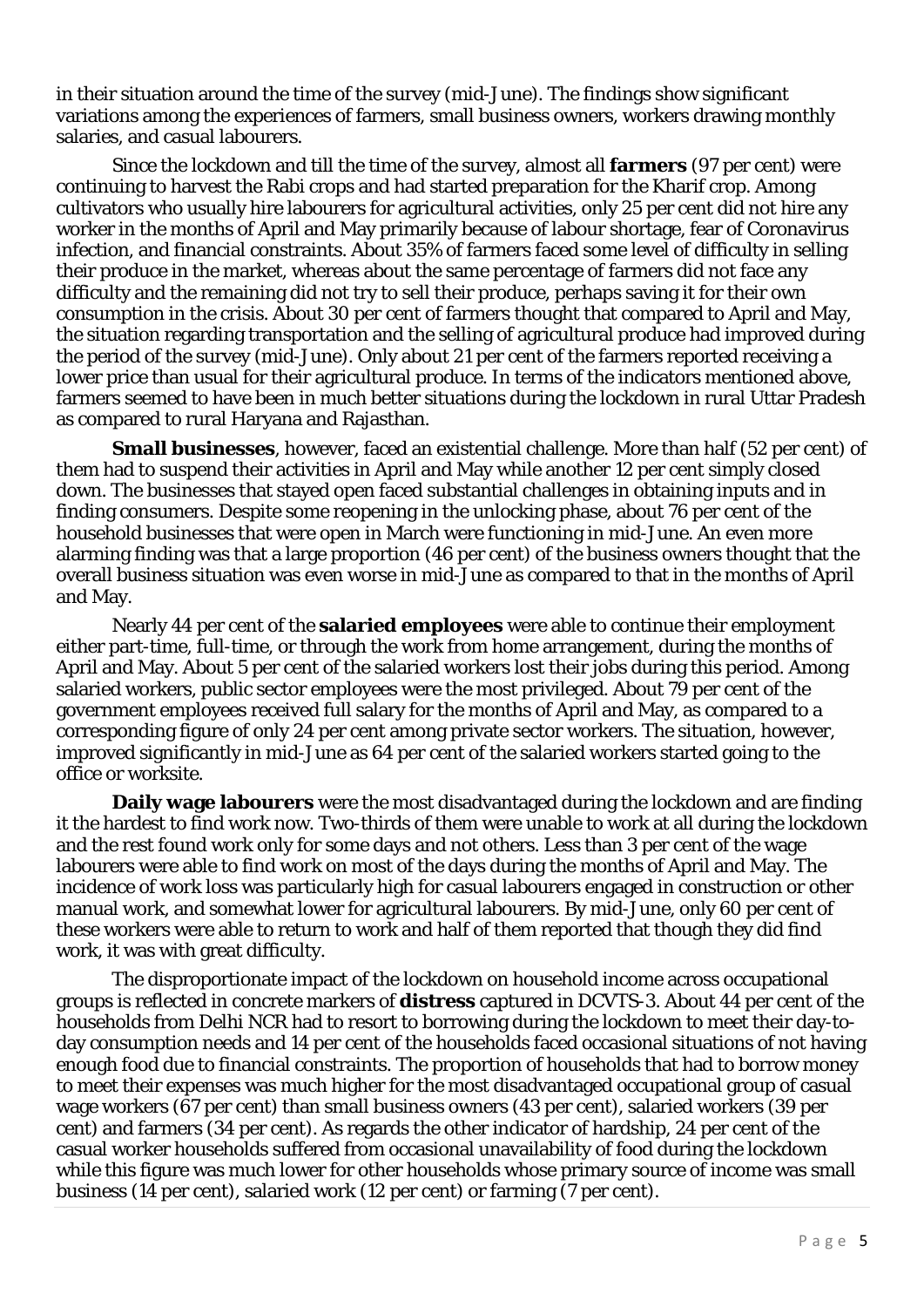in their situation around the time of the survey (mid-June). The findings show significant variations among the experiences of farmers, small business owners, workers drawing monthly salaries, and casual labourers.

Since the lockdown and till the time of the survey, almost all **farmers** (97 per cent) were continuing to harvest the Rabi crops and had started preparation for the Kharif crop. Among cultivators who usually hire labourers for agricultural activities, only 25 per cent did not hire any worker in the months of April and May primarily because of labour shortage, fear of Coronavirus infection, and financial constraints. About 35% of farmers faced some level of difficulty in selling their produce in the market, whereas about the same percentage of farmers did not face any difficulty and the remaining did not try to sell their produce, perhaps saving it for their own consumption in the crisis. About 30 per cent of farmers thought that compared to April and May, the situation regarding transportation and the selling of agricultural produce had improved during the period of the survey (mid-June). Only about 21 per cent of the farmers reported receiving a lower price than usual for their agricultural produce. In terms of the indicators mentioned above, farmers seemed to have been in much better situations during the lockdown in rural Uttar Pradesh as compared to rural Haryana and Rajasthan.

**Small businesses**, however, faced an existential challenge. More than half (52 per cent) of them had to suspend their activities in April and May while another 12 per cent simply closed down. The businesses that stayed open faced substantial challenges in obtaining inputs and in finding consumers. Despite some reopening in the unlocking phase, about 76 per cent of the household businesses that were open in March were functioning in mid-June. An even more alarming finding was that a large proportion (46 per cent) of the business owners thought that the overall business situation was even worse in mid-June as compared to that in the months of April and May.

Nearly 44 per cent of the **salaried employees** were able to continue their employment either part-time, full-time, or through the work from home arrangement, during the months of April and May. About 5 per cent of the salaried workers lost their jobs during this period. Among salaried workers, public sector employees were the most privileged. About 79 per cent of the government employees received full salary for the months of April and May, as compared to a corresponding figure of only 24 per cent among private sector workers. The situation, however, improved significantly in mid-June as 64 per cent of the salaried workers started going to the office or worksite.

**Daily wage labourers** were the most disadvantaged during the lockdown and are finding it the hardest to find work now. Two-thirds of them were unable to work at all during the lockdown and the rest found work only for some days and not others. Less than 3 per cent of the wage labourers were able to find work on most of the days during the months of April and May. The incidence of work loss was particularly high for casual labourers engaged in construction or other manual work, and somewhat lower for agricultural labourers. By mid-June, only 60 per cent of these workers were able to return to work and half of them reported that though they did find work, it was with great difficulty.

The disproportionate impact of the lockdown on household income across occupational groups is reflected in concrete markers of **distress** captured in DCVTS-3. About 44 per cent of the households from Delhi NCR had to resort to borrowing during the lockdown to meet their day-today consumption needs and 14 per cent of the households faced occasional situations of not having enough food due to financial constraints. The proportion of households that had to borrow money to meet their expenses was much higher for the most disadvantaged occupational group of casual wage workers (67 per cent) than small business owners (43 per cent), salaried workers (39 per cent) and farmers (34 per cent). As regards the other indicator of hardship, 24 per cent of the casual worker households suffered from occasional unavailability of food during the lockdown while this figure was much lower for other households whose primary source of income was small business (14 per cent), salaried work (12 per cent) or farming (7 per cent).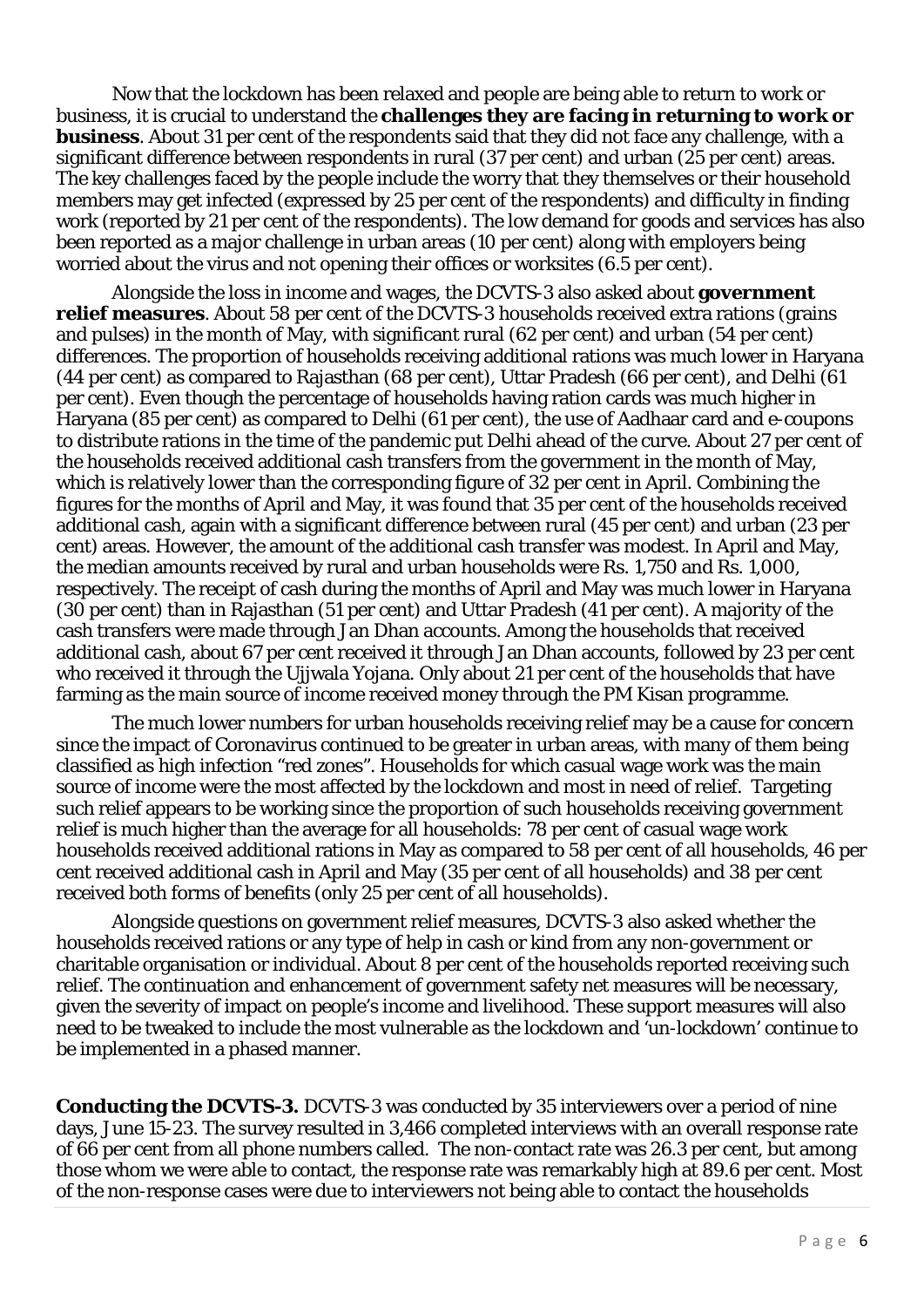Now that the lockdown has been relaxed and people are being able to return to work or business, it is crucial to understand the **challenges they are facing in returning to work or business**. About 31 per cent of the respondents said that they did not face any challenge, with a significant difference between respondents in rural (37 per cent) and urban (25 per cent) areas. The key challenges faced by the people include the worry that they themselves or their household members may get infected (expressed by 25 per cent of the respondents) and difficulty in finding work (reported by 21 per cent of the respondents). The low demand for goods and services has also been reported as a major challenge in urban areas (10 per cent) along with employers being worried about the virus and not opening their offices or worksites (6.5 per cent).

Alongside the loss in income and wages, the DCVTS-3 also asked about **government relief measures**. About 58 per cent of the DCVTS-3 households received extra rations (grains and pulses) in the month of May, with significant rural (62 per cent) and urban (54 per cent) differences. The proportion of households receiving additional rations was much lower in Haryana (44 per cent) as compared to Rajasthan (68 per cent), Uttar Pradesh (66 per cent), and Delhi (61 per cent). Even though the percentage of households having ration cards was much higher in Haryana (85 per cent) as compared to Delhi (61 per cent), the use of Aadhaar card and e-coupons to distribute rations in the time of the pandemic put Delhi ahead of the curve. About 27 per cent of the households received additional cash transfers from the government in the month of May, which is relatively lower than the corresponding figure of 32 per cent in April. Combining the figures for the months of April and May, it was found that 35 per cent of the households received additional cash, again with a significant difference between rural (45 per cent) and urban (23 per cent) areas. However, the amount of the additional cash transfer was modest. In April and May, the median amounts received by rural and urban households were Rs. 1,750 and Rs. 1,000, respectively. The receipt of cash during the months of April and May was much lower in Haryana (30 per cent) than in Rajasthan (51 per cent) and Uttar Pradesh (41 per cent). A majority of the cash transfers were made through Jan Dhan accounts. Among the households that received additional cash, about 67 per cent received it through Jan Dhan accounts, followed by 23 per cent who received it through the Ujjwala Yojana. Only about 21 per cent of the households that have farming as the main source of income received money through the PM Kisan programme.

The much lower numbers for urban households receiving relief may be a cause for concern since the impact of Coronavirus continued to be greater in urban areas, with many of them being classified as high infection "red zones". Households for which casual wage work was the main source of income were the most affected by the lockdown and most in need of relief. Targeting such relief appears to be working since the proportion of such households receiving government relief is much higher than the average for all households: 78 per cent of casual wage work households received additional rations in May as compared to 58 per cent of all households, 46 per cent received additional cash in April and May (35 per cent of all households) and 38 per cent received both forms of benefits (only 25 per cent of all households).

Alongside questions on government relief measures, DCVTS-3 also asked whether the households received rations or any type of help in cash or kind from any non-government or charitable organisation or individual. About 8 per cent of the households reported receiving such relief. The continuation and enhancement of government safety net measures will be necessary, given the severity of impact on people's income and livelihood. These support measures will also need to be tweaked to include the most vulnerable as the lockdown and 'un-lockdown' continue to be implemented in a phased manner.

**Conducting the DCVTS-3.** DCVTS-3 was conducted by 35 interviewers over a period of nine days, June 15-23. The survey resulted in 3,466 completed interviews with an overall response rate of 66 per cent from all phone numbers called. The non-contact rate was 26.3 per cent, but among those whom we were able to contact, the response rate was remarkably high at 89.6 per cent. Most of the non-response cases were due to interviewers not being able to contact the households